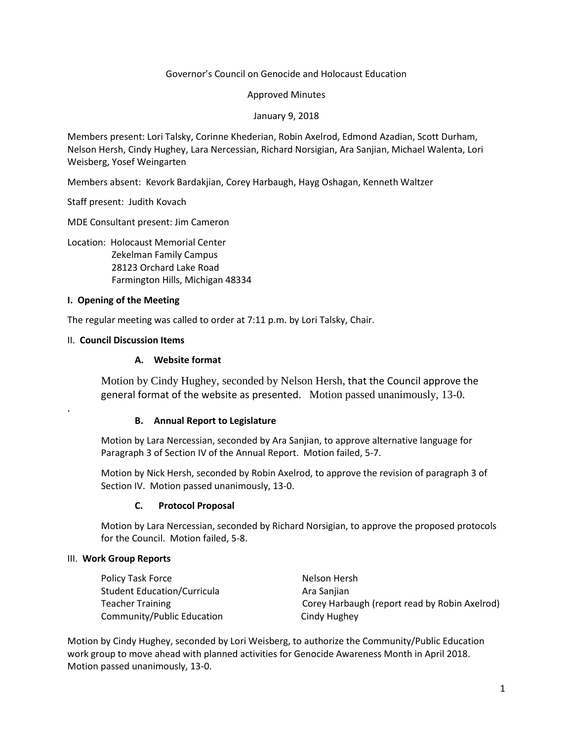### Governor's Council on Genocide and Holocaust Education

Approved Minutes

January 9, 2018

Members present: Lori Talsky, Corinne Khederian, Robin Axelrod, Edmond Azadian, Scott Durham, Nelson Hersh, Cindy Hughey, Lara Nercessian, Richard Norsigian, Ara Sanjian, Michael Walenta, Lori Weisberg, Yosef Weingarten

Members absent: Kevork Bardakjian, Corey Harbaugh, Hayg Oshagan, Kenneth Waltzer

Staff present: Judith Kovach

MDE Consultant present: Jim Cameron

Location: Holocaust Memorial Center

 Zekelman Family Campus 28123 Orchard Lake Road Farmington Hills, Michigan 48334

### **I. Opening of the Meeting**

The regular meeting was called to order at 7:11 p.m. by Lori Talsky, Chair.

### II. **Council Discussion Items**

.

## **A. Website format**

Motion by Cindy Hughey, seconded by Nelson Hersh, that the Council approve the general format of the website as presented. Motion passed unanimously, 13-0.

### **B. Annual Report to Legislature**

Motion by Lara Nercessian, seconded by Ara Sanjian, to approve alternative language for Paragraph 3 of Section IV of the Annual Report. Motion failed, 5-7.

Motion by Nick Hersh, seconded by Robin Axelrod, to approve the revision of paragraph 3 of Section IV. Motion passed unanimously, 13-0.

### **C. Protocol Proposal**

Motion by Lara Nercessian, seconded by Richard Norsigian, to approve the proposed protocols for the Council. Motion failed, 5-8.

### III. **Work Group Reports**

| Policy Task Force           | Nelson Hersh                                  |
|-----------------------------|-----------------------------------------------|
| Student Education/Curricula | Ara Sanjian                                   |
| Teacher Training            | Corey Harbaugh (report read by Robin Axelrod) |
| Community/Public Education  | Cindy Hughey                                  |

Motion by Cindy Hughey, seconded by Lori Weisberg, to authorize the Community/Public Education work group to move ahead with planned activities for Genocide Awareness Month in April 2018. Motion passed unanimously, 13-0.